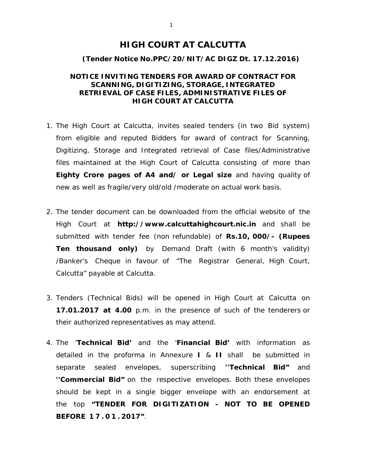## **HIGH COURT AT CALCUTTA**

#### **(Tender Notice No.PPC/20/NIT/AC DIGZ Dt. 17.12.2016)**

### **NOTICE INVITING TENDERS FOR AWARD OF CONTRACT FOR SCANNING, DIGITIZING, STORAGE, INTEGRATED RETRIEVAL OF CASE FILES, ADMINISTRATIVE FILES OF HIGH COURT AT CALCUTTA**

- 1. The High Court at Calcutta, invites sealed tenders (in two Bid system) from eligible and reputed Bidders for award of contract for Scanning, Digitizing, Storage and Integrated retrieval of Case files/Administrative files maintained at the High Court of Calcutta consisting of more than **Eighty Crore pages of A4 and/ or Legal size** and having quality of new as well as fragile/very old/old /moderate on actual work basis.
- 2. The tender document can be downloaded from the official website of the High Court at *http://www.calcuttahighcourt.nic.in* and shall be submitted with tender fee (non refundable) of **Rs.10, 000/- (Rupees Ten thousand only)** by Demand Draft (with 6 month's validity) /Banker's Cheque in favour of "The Registrar General, High Court, Calcutta" payable at Calcutta.
- 3. Tenders (Technical Bids) will be opened in High Court at Calcutta on **17.01.2017 at 4.00** p.m. in the presence of such of the tenderers or their authorized representatives as may attend.
- 4. The '*Technical Bid'* and the '*Financial Bid'* with information as detailed in the proforma in Annexure **I** & **II** shall be submitted in separate sealed envelopes, superscribing **''Technical Bid"** and **''Commercial Bid"** on the respective envelopes. Both these envelopes should be kept in a single bigger envelope with an endorsement at the top **"TENDER FOR DIGITIZATION - NOT TO BE OPENED BEFORE 17.01. 2017"**.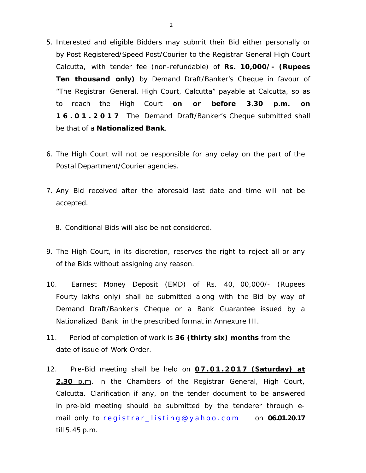- 5. Interested and eligible Bidders may submit their Bid either personally or by Post Registered/Speed Post/Courier to the Registrar General High Court Calcutta, with tender fee (non-refundable) of **Rs. 10,000/- (Rupees Ten thousand only)** by Demand Draft/Banker's Cheque in favour of "The Registrar General, High Court, Calcutta" payable at Calcutta, so as to reach the High Court **on or before 3.30 p.m. on 16.01.2017** The Demand Draft/Banker's Cheque submitted shall be that of a **Nationalized Bank**.
- 6. The High Court will not be responsible for any delay on the part of the Postal Department/Courier agencies.
- 7. Any Bid received after the aforesaid last date and time will not be accepted.
	- 8. Conditional Bids will also be not considered.
- 9. The High Court, in its discretion, reserves the right to reject all or any of the Bids without assigning any reason.
- 10. Earnest Money Deposit (EMD) of Rs. 40, 00,000/- (Rupees Fourty lakhs only) shall be submitted along with the Bid by way of Demand Draft/Banker's Cheque or a Bank Guarantee issued by a Nationalized Bank in the prescribed format in Annexure III.
- 11. Period of completion of work is **36 (thirty six) months** from the date of issue of Work Order.
- 12. Pre-Bid meeting shall be held on **0 7 . 0 1 . 2 0 1 7 (Saturday) at 2.30** p.m. in the Chambers of the Registrar General, High Court, Calcutta. Clarification if any, on the tender document to be answered in pre-bid meeting should be submitted by the tenderer through email only to registrar\_listing@yahoo.com on **06.01.20.17** till 5.45 p.m.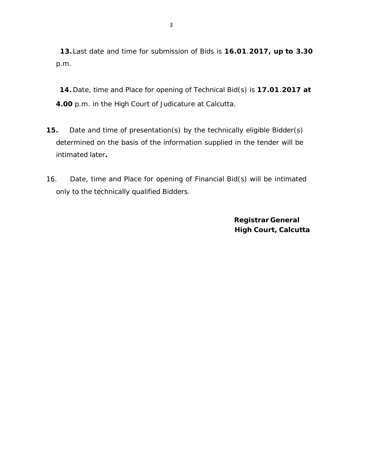**13.**Last date and time for submission of Bids is **16.01**.**2017, up to 3.30**  p.m.

**14.** Date, time and Place for opening of Technical Bid(s) is **17.01**.**2017 at 4.00** p.m. in the High Court of Judicature at Calcutta.

- **15.** Date and time of presentation(s) by the technically eligible Bidder(s) determined on the basis of the information supplied in the tender will be intimated later**.**
- 16. Date, time and Place for opening of Financial Bid(s) will be intimated only to the technically qualified Bidders.

 **Registrar General High Court, Calcutta**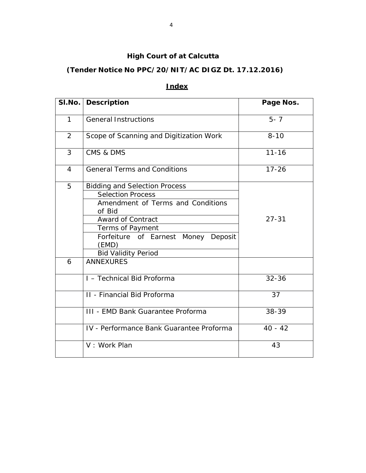# **High Court of at Calcutta**

# **(Tender Notice No PPC/20/NIT/AC DIGZ Dt. 17.12.2016)**

# **Index**

|                | SI.No.   Description                             | Page Nos. |  |
|----------------|--------------------------------------------------|-----------|--|
| $\mathbf{1}$   | <b>General Instructions</b>                      | $5 - 7$   |  |
| $\overline{2}$ | Scope of Scanning and Digitization Work          | $8 - 10$  |  |
| 3              | CMS & DMS                                        | $11 - 16$ |  |
| 4              | <b>General Terms and Conditions</b><br>$17 - 26$ |           |  |
| 5              | <b>Bidding and Selection Process</b>             |           |  |
|                | <b>Selection Process</b>                         |           |  |
|                | Amendment of Terms and Conditions                |           |  |
|                | of Bid                                           |           |  |
|                | <b>Award of Contract</b>                         | $27 - 31$ |  |
|                | Terms of Payment                                 |           |  |
|                | Forfeiture of Earnest Money Deposit              |           |  |
|                | (EMD)                                            |           |  |
|                | <b>Bid Validity Period</b>                       |           |  |
| 6              | <b>ANNEXURES</b>                                 |           |  |
|                | I - Technical Bid Proforma                       | $32 - 36$ |  |
|                | II - Financial Bid Proforma                      | 37        |  |
|                | <b>III - EMD Bank Guarantee Proforma</b>         | 38-39     |  |
|                | IV - Performance Bank Guarantee Proforma         | $40 - 42$ |  |
|                | V: Work Plan                                     | 43        |  |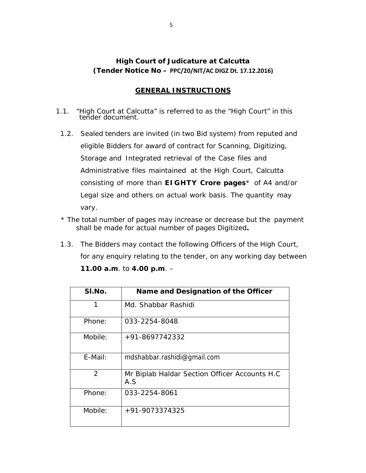# **High Court of Judicature at Calcutta (Tender Notice No – PPC/20/NIT/AC DIGZ Dt. 17.12.2016)**

## **GENERAL INSTRUCTIONS**

- 1.1. "High Court at Calcutta" is referred to as the "High Court" in this tender document.
	- 1.2. Sealed tenders are invited (in two Bid system) from reputed and eligible Bidders for award of contract for Scanning, Digitizing, Storage and Integrated retrieval of the Case files and Administrative files maintained at the High Court, Calcutta consisting of more than **EIGHTY Crore pages**\* of A4 and/or Legal size and others on actual work basis. The quantity may vary.
	- *\* The total number of pages may increase or decrease but the payment shall be made for actual number of pages Digitized***.**
	- 1.3. The Bidders may contact the following Officers of the High Court, for any enquiry relating to the tender, on any working day between **11.00 a.m**. to **4.00 p.m**. –

| SI.No.  | Name and Designation of the Officer                  |
|---------|------------------------------------------------------|
| 1       | Md. Shabbar Rashidi                                  |
| Phone:  | 033-2254-8048                                        |
| Mobile: | +91-8697742332                                       |
| E-Mail: | mdshabbar.rashidi@gmail.com                          |
| 2       | Mr Biplab Haldar Section Officer Accounts H.C<br>A.S |
| Phone:  | 033-2254-8061                                        |
| Mobile: | +91-9073374325                                       |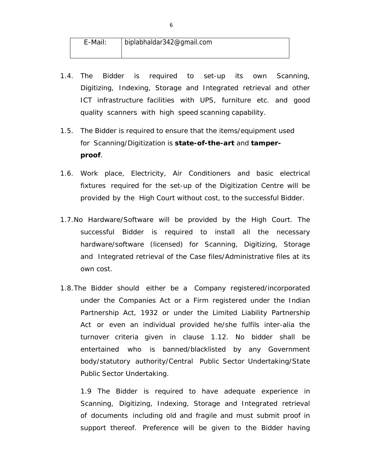| E-Mail: | biplabhaldar342@gmail.com |
|---------|---------------------------|
|         |                           |

- 1.4. The Bidder is required to set-up its own Scanning, Digitizing, Indexing, Storage and Integrated retrieval and other ICT infrastructure facilities with UPS, furniture etc. and good quality scanners with high speed scanning capability.
- 1.5. The Bidder is required to ensure that the items/equipment used for Scanning/Digitization is **state-of-the-art** and **tamperproof**.
- 1.6. Work place, Electricity, Air Conditioners and basic electrical fixtures required for the set-up of the Digitization Centre will be provided by the High Court without cost, to the successful Bidder.
- 1.7.No Hardware/Software will be provided by the High Court. The successful Bidder is required to install all the necessary hardware/software (licensed) for Scanning, Digitizing, Storage and Integrated retrieval of the Case files/Administrative files at its own cost.
- 1.8.The Bidder should either be a Company registered/incorporated under the Companies Act or a Firm registered under the Indian Partnership Act, 1932 or under the Limited Liability Partnership Act or even an individual provided he/she fulfils inter-alia the turnover criteria given in clause 1.12. No bidder shall be entertained who is banned/blacklisted by any Government body/statutory authority/Central Public Sector Undertaking/State Public Sector Undertaking.

1.9 The Bidder is required to have adequate experience in Scanning, Digitizing, Indexing, Storage and Integrated retrieval of documents including old and fragile and must submit proof in support thereof. Preference will be given to the Bidder having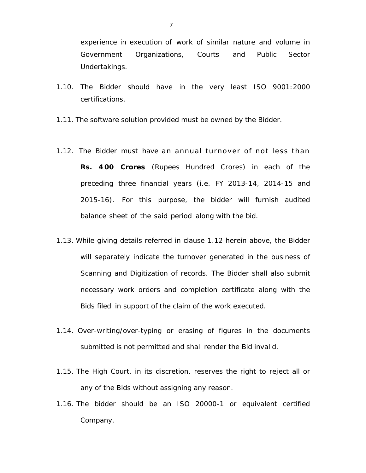experience in execution of work of similar nature and volume in Government Organizations, Courts and Public Sector Undertakings.

- 1.10. The Bidder should have in the very least ISO 9001:2000 certifications.
- 1.11. The software solution provided must be owned by the Bidder.
- 1.12. The Bidder must have an annual turnover of not less than **Rs. 4 00 Crores** (Rupees Hundred Crores) in each of the preceding three financial years (i.e. FY 2013-14, 2014-15 and 2015-16). For this purpose, the bidder will furnish audited balance sheet of the said period along with the bid.
- 1.13. While giving details referred in clause 1.12 herein above, the Bidder will separately indicate the turnover generated in the business of Scanning and Digitization of records. The Bidder shall also submit necessary work orders and completion certificate along with the Bids filed in support of the claim of the work executed.
- 1.14. Over-writing/over-typing or erasing of figures in the documents submitted is not permitted and shall render the Bid invalid.
- 1.15. The High Court, in its discretion, reserves the right to reject all or any of the Bids without assigning any reason.
- 1.16. The bidder should be an ISO 20000-1 or equivalent certified Company.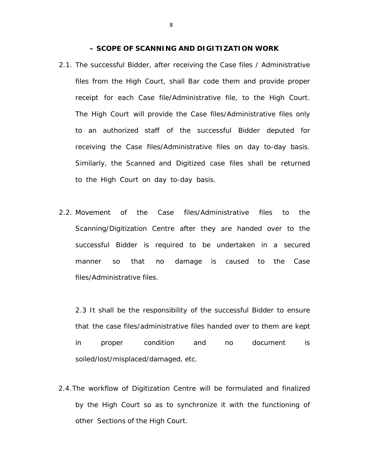#### **– SCOPE OF SCANNING AND DIGITIZATION WORK**

- 2.1. The successful Bidder, after receiving the Case files / Administrative files from the High Court, shall Bar code them and provide proper receipt for each Case file/Administrative file, to the High Court. The High Court will provide the Case files/Administrative files only to an authorized staff of the successful Bidder deputed for receiving the Case files/Administrative files on day to-day basis. Similarly, the Scanned and Digitized case files shall be returned to the High Court on day to-day basis.
- 2.2. Movement of the Case files/Administrative files to the Scanning/Digitization Centre after they are handed over to the successful Bidder is required to be undertaken in a secured manner so that no damage is caused to the Case files/Administrative files.

2.3 It shall be the responsibility of the successful Bidder to ensure that the case files/administrative files handed over to them are kept in proper condition and no document is soiled/lost/misplaced/damaged, etc.

2.4.The workflow of Digitization Centre will be formulated and finalized by the High Court so as to synchronize it with the functioning of other Sections of the High Court.

8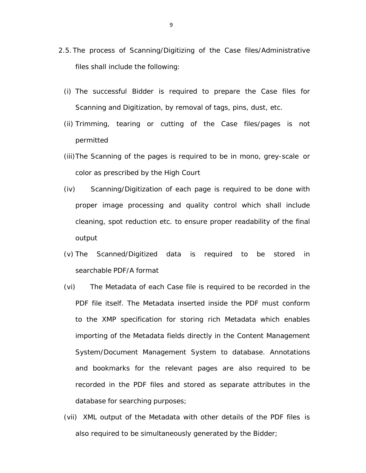- 2.5.The process of Scanning/Digitizing of the Case files/Administrative files shall include the following:
	- (i) The successful Bidder is required to prepare the Case files for Scanning and Digitization, by removal of tags, pins, dust, etc.
	- (ii) Trimming, tearing or cutting of the Case files/pages is not permitted
	- (iii)The Scanning of the pages is required to be in mono, grey-scale or color as prescribed by the High Court
	- (iv) Scanning/Digitization of each page is required to be done with proper image processing and quality control which shall include cleaning, spot reduction etc. to ensure proper readability of the final output
	- (v) The Scanned/Digitized data is required to be stored in searchable PDF/A format
	- (vi) The Metadata of each Case file is required to be recorded in the PDF file itself. The Metadata inserted inside the PDF must conform to the XMP specification for storing rich Metadata which enables importing of the Metadata fields directly in the Content Management System/Document Management System to database. Annotations and bookmarks for the relevant pages are also required to be recorded in the PDF files and stored as separate attributes in the database for searching purposes;
	- (vii) XML output of the Metadata with other details of the PDF files is also required to be simultaneously generated by the Bidder;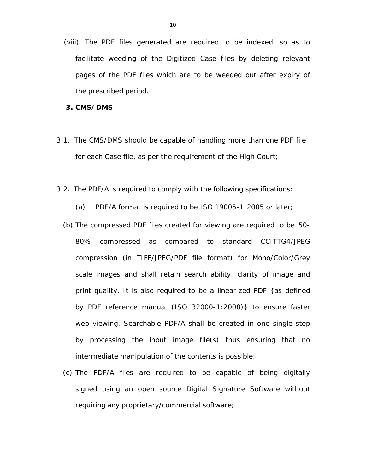(viii) The PDF files generated are required to be indexed, so as to facilitate weeding of the Digitized Case files by deleting relevant pages of the PDF files which are to be weeded out after expiry of the prescribed period.

#### **3. CMS/DMS**

- 3.1. The CMS/DMS should be capable of handling more than one PDF file for each Case file, as per the requirement of the High Court;
- 3.2. The PDF/A is required to comply with the following specifications:
	- (a) PDF/A format is required to be ISO 19005-1:2005 or later;
	- (b) The compressed PDF files created for viewing are required to be 50- 80% compressed as compared to standard CCITTG4/JPEG compression (in TIFF/JPEG/PDF file format) for Mono/Color/Grey scale images and shall retain search ability, clarity of image and print quality. It is also required to be a linear zed PDF {as defined by PDF reference manual (ISO 32000-1:2008)} to ensure faster web viewing. Searchable PDF/A shall be created in one single step by processing the input image file(s) thus ensuring that no intermediate manipulation of the contents is possible;
	- (c) The PDF/A files are required to be capable of being digitally signed using an open source Digital Signature Software without requiring any proprietary/commercial software;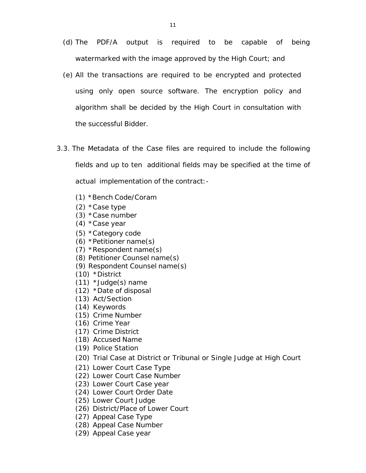- (d) The PDF/A output is required to be capable of being watermarked with the image approved by the High Court; and
- (e) All the transactions are required to be encrypted and protected using only open source software. The encryption policy and algorithm shall be decided by the High Court in consultation with the successful Bidder.
- 3.3. The Metadata of the Case files are required to include the following fields and up to ten additional fields may be specified at the time of actual implementation of the contract:-
	- (1) \*Bench Code/Coram
	- (2) \*Case type
	- (3) \*Case number
	- (4) \*Case year
	- (5) \*Category code
	- (6) \*Petitioner name(s)
	- (7) \*Respondent name(s)
	- (8) Petitioner Counsel name(s)
	- (9) Respondent Counsel name(s)
	- (10) \*District
	- (11) \*Judge(s) name
	- (12) \*Date of disposal
	- (13) Act/Section
	- (14) Keywords
	- (15) Crime Number
	- (16) Crime Year
	- (17) Crime District
	- (18) Accused Name
	- (19) Police Station
	- (20) Trial Case at District or Tribunal or Single Judge at High Court
	- (21) Lower Court Case Type
	- (22) Lower Court Case Number
	- (23) Lower Court Case year
	- (24) Lower Court Order Date
	- (25) Lower Court Judge
	- (26) District/Place of Lower Court
	- (27) Appeal Case Type
	- (28) Appeal Case Number
	- (29) Appeal Case year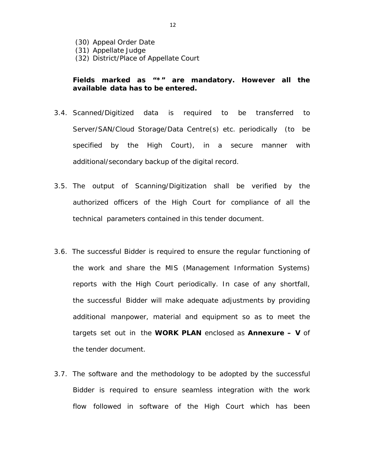- (30) Appeal Order Date
- (31) Appellate Judge
- (32) District/Place of Appellate Court

### *Fields marked as "\*" are mandatory. However all the available data has to be entered.*

- 3.4. Scanned/Digitized data is required to be transferred to Server/SAN/Cloud Storage/Data Centre(s) etc. periodically (to be specified by the High Court), in a secure manner with additional/secondary backup of the digital record.
- 3.5. The output of Scanning/Digitization shall be verified by the authorized officers of the High Court for compliance of all the technical parameters contained in this tender document.
- 3.6. The successful Bidder is required to ensure the regular functioning of the work and share the MIS (Management Information Systems) reports with the High Court periodically. In case of any shortfall, the successful Bidder will make adequate adjustments by providing additional manpower, material and equipment so as to meet the targets set out in the **WORK PLAN** enclosed as **Annexure – V** of the tender document.
- 3.7. The software and the methodology to be adopted by the successful Bidder is required to ensure seamless integration with the work flow followed in software of the High Court which has been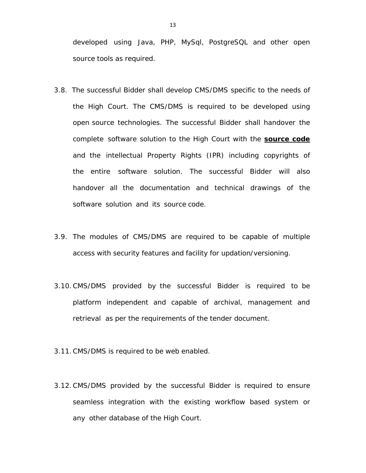developed using Java, PHP, MySql, PostgreSQL and other open source tools as required.

- 3.8. The successful Bidder shall develop CMS/DMS specific to the needs of the High Court. The CMS/DMS is required to be developed using open source technologies. The successful Bidder shall handover the complete software solution to the High Court with the **source code** and the intellectual Property Rights (IPR) including copyrights of the entire software solution. The successful Bidder will also handover all the documentation and technical drawings of the software solution and its source code.
- 3.9. The modules of CMS/DMS are required to be capable of multiple access with security features and facility for updation/versioning.
- 3.10.CMS/DMS provided by the successful Bidder is required to be platform independent and capable of archival, management and retrieval as per the requirements of the tender document.
- 3.11.CMS/DMS is required to be web enabled.
- 3.12.CMS/DMS provided by the successful Bidder is required to ensure seamless integration with the existing workflow based system or any other database of the High Court.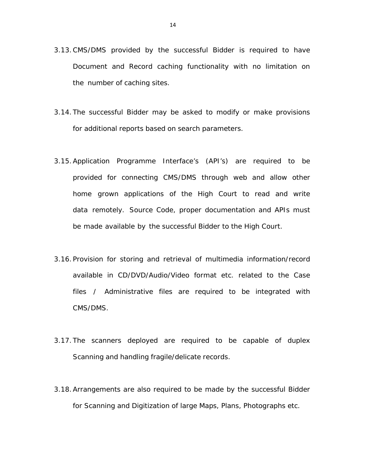- 3.13.CMS/DMS provided by the successful Bidder is required to have Document and Record caching functionality with no limitation on the number of caching sites.
- 3.14. The successful Bidder may be asked to modify or make provisions for additional reports based on search parameters.
- 3.15.Application Programme Interface's (API's) are required to be provided for connecting CMS/DMS through web and allow other home grown applications of the High Court to read and write data remotely. Source Code, proper documentation and APIs must be made available by the successful Bidder to the High Court.
- 3.16. Provision for storing and retrieval of multimedia information/record available in CD/DVD/Audio/Video format etc. related to the Case files / Administrative files are required to be integrated with CMS/DMS.
- 3.17. The scanners deployed are required to be capable of duplex Scanning and handling fragile/delicate records.
- 3.18.Arrangements are also required to be made by the successful Bidder for Scanning and Digitization of large Maps, Plans, Photographs etc.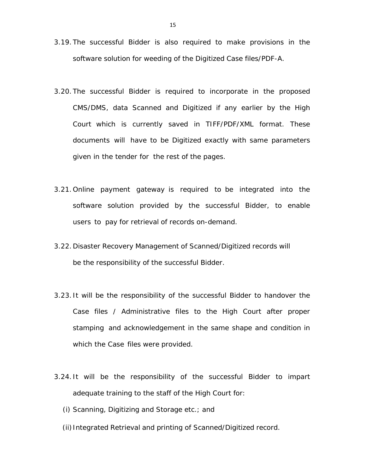- 3.19. The successful Bidder is also required to make provisions in the software solution for weeding of the Digitized Case files/PDF-A.
- 3.20. The successful Bidder is required to incorporate in the proposed CMS/DMS, data Scanned and Digitized if any earlier by the High Court which is currently saved in TIFF/PDF/XML format. These documents will have to be Digitized exactly with same parameters given in the tender for the rest of the pages.
- 3.21. Online payment gateway is required to be integrated into the software solution provided by the successful Bidder, to enable users to pay for retrieval of records on-demand.
- 3.22. Disaster Recovery Management of Scanned/Digitized records will be the responsibility of the successful Bidder.
- 3.23. It will be the responsibility of the successful Bidder to handover the Case files / Administrative files to the High Court after proper stamping and acknowledgement in the same shape and condition in which the Case files were provided.
- 3.24. It will be the responsibility of the successful Bidder to impart adequate training to the staff of the High Court for:
	- (i) Scanning, Digitizing and Storage etc.; and
	- (ii) Integrated Retrieval and printing of Scanned/Digitized record.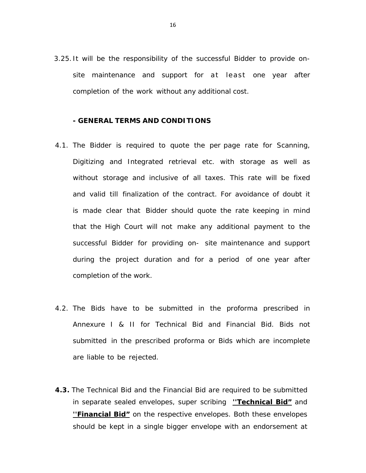3.25. It will be the responsibility of the successful Bidder to provide onsite maintenance and support for at least one year after completion of the work without any additional cost.

#### **- GENERAL TERMS AND CONDITIONS**

- 4.1. The Bidder is required to quote the per page rate for Scanning, Digitizing and Integrated retrieval etc. with storage as well as without storage and inclusive of all taxes. This rate will be fixed and valid till finalization of the contract. For avoidance of doubt it is made clear that Bidder should quote the rate keeping in mind that the High Court will not make any additional payment to the successful Bidder for providing on- site maintenance and support during the project duration and for a period of one year after completion of the work.
- 4.2. The Bids have to be submitted in the proforma prescribed in Annexure I & II for Technical Bid and Financial Bid. Bids not submitted in the prescribed proforma or Bids which are incomplete are liable to be rejected.
- **4.3.** The Technical Bid and the Financial Bid are required to be submitted in separate sealed envelopes, super scribing **''Technical Bid"** and **''Financial Bid"** on the respective envelopes. Both these envelopes should be kept in a single bigger envelope with an endorsement at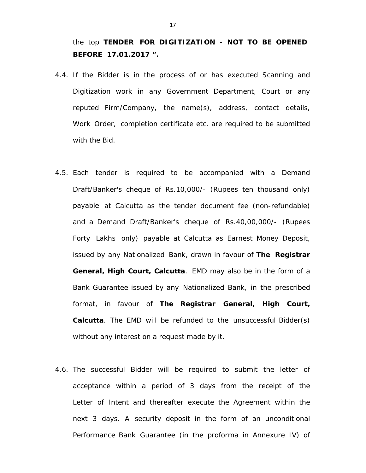the top **TENDER FOR DIGITIZATION - NOT TO BE OPENED BEFORE 17.01.2017 ".** 

- 4.4. If the Bidder is in the process of or has executed Scanning and Digitization work in any Government Department, Court or any reputed Firm/Company, the name(s), address, contact details, Work Order, completion certificate etc. are required to be submitted with the Bid.
- 4.5. Each tender is required to be accompanied with a Demand Draft/Banker's cheque of Rs.10,000/- (Rupees ten thousand only) payable at Calcutta as the tender document fee (non-refundable) and a Demand Draft/Banker's cheque of Rs.40,00,000/- (Rupees Forty Lakhs only) payable at Calcutta as Earnest Money Deposit, issued by any Nationalized Bank, drawn in favour of **The Registrar General, High Court, Calcutta**. EMD may also be in the form of a Bank Guarantee issued by any Nationalized Bank, in the prescribed format, in favour of **The Registrar General, High Court, Calcutta**. The EMD will be refunded to the unsuccessful Bidder(s) without any interest on a request made by it.
- 4.6. The successful Bidder will be required to submit the letter of acceptance within a period of 3 days from the receipt of the Letter of Intent and thereafter execute the Agreement within the next 3 days. A security deposit in the form of an unconditional Performance Bank Guarantee (in the proforma in Annexure IV) of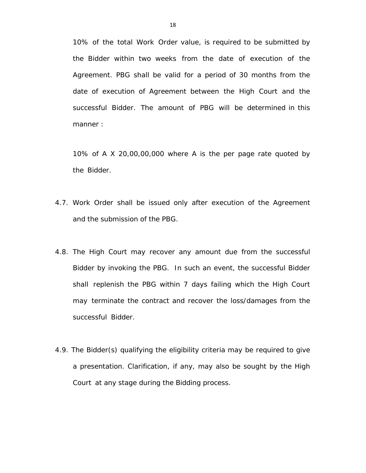10% of the total Work Order value, is required to be submitted by the Bidder within two weeks from the date of execution of the Agreement. PBG shall be valid for a period of 30 months from the date of execution of Agreement between the High Court and the successful Bidder. The amount of PBG will be determined in this manner :

*10% of A X 20,00,00,000 where A is the per page rate quoted by the Bidder.* 

- 4.7. Work Order shall be issued only after execution of the Agreement and the submission of the PBG.
- 4.8. The High Court may recover any amount due from the successful Bidder by invoking the PBG. In such an event, the successful Bidder shall replenish the PBG within 7 days failing which the High Court may terminate the contract and recover the loss/damages from the successful Bidder.
- 4.9. The Bidder(s) qualifying the eligibility criteria may be required to give a presentation. Clarification, if any, may also be sought by the High Court at any stage during the Bidding process.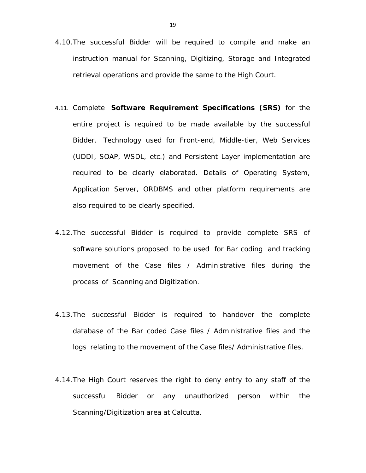- 4.10.The successful Bidder will be required to compile and make an instruction manual for Scanning, Digitizing, Storage and Integrated retrieval operations and provide the same to the High Court.
- 4.11. Complete **Software Requirement Specifications (SRS)** for the entire project is required to be made available by the successful Bidder. Technology used for Front-end, Middle-tier, Web Services (UDDI, SOAP, WSDL, etc.) and Persistent Layer implementation are required to be clearly elaborated. Details of Operating System, Application Server, ORDBMS and other platform requirements are also required to be clearly specified.
- 4.12.The successful Bidder is required to provide complete SRS of software solutions proposed to be used for Bar coding and tracking movement of the Case files / Administrative files during the process of Scanning and Digitization.
- 4.13.The successful Bidder is required to handover the complete database of the Bar coded Case files / Administrative files and the logs relating to the movement of the Case files/ Administrative files.
- 4.14.The High Court reserves the right to deny entry to any staff of the successful Bidder or any unauthorized person within the Scanning/Digitization area at Calcutta.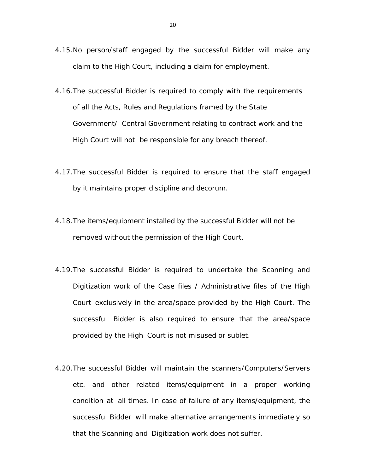- 4.15.No person/staff engaged by the successful Bidder will make any claim to the High Court, including a claim for employment.
- 4.16.The successful Bidder is required to comply with the requirements of all the Acts, Rules and Regulations framed by the State Government/ Central Government relating to contract work and the High Court will not be responsible for any breach thereof.
- 4.17.The successful Bidder is required to ensure that the staff engaged by it maintains proper discipline and decorum.
- 4.18.The items/equipment installed by the successful Bidder will not be removed without the permission of the High Court.
- 4.19.The successful Bidder is required to undertake the Scanning and Digitization work of the Case files / Administrative files of the High Court exclusively in the area/space provided by the High Court. The successful Bidder is also required to ensure that the area/space provided by the High Court is not misused or sublet.
- 4.20.The successful Bidder will maintain the scanners/Computers/Servers etc. and other related items/equipment in a proper working condition at all times. In case of failure of any items/equipment, the successful Bidder will make alternative arrangements immediately so that the Scanning and Digitization work does not suffer.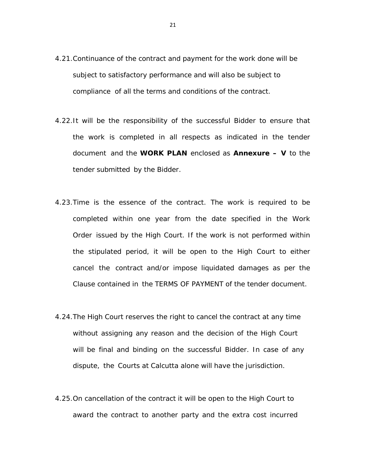- 4.21.Continuance of the contract and payment for the work done will be subject to satisfactory performance and will also be subject to compliance of all the terms and conditions of the contract.
- 4.22.It will be the responsibility of the successful Bidder to ensure that the work is completed in all respects as indicated in the tender document and the **WORK PLAN** enclosed as **Annexure – V** to the tender submitted by the Bidder.
- 4.23.Time is the essence of the contract. The work is required to be completed within one year from the date specified in the Work Order issued by the High Court. If the work is not performed within the stipulated period, it will be open to the High Court to either cancel the contract and/or impose liquidated damages as per the Clause contained in the TERMS OF PAYMENT of the tender document.
- 4.24.The High Court reserves the right to cancel the contract at any time without assigning any reason and the decision of the High Court will be final and binding on the successful Bidder. In case of any dispute, the Courts at Calcutta alone will have the jurisdiction.
- 4.25.On cancellation of the contract it will be open to the High Court to award the contract to another party and the extra cost incurred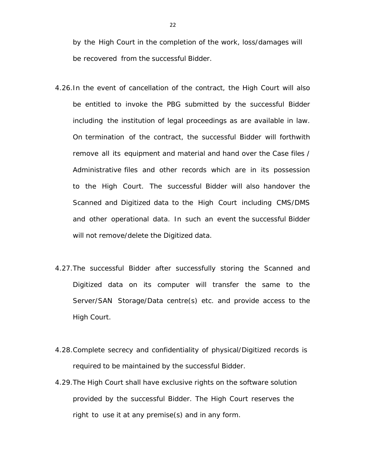by the High Court in the completion of the work, loss/damages will be recovered from the successful Bidder.

- 4.26.In the event of cancellation of the contract, the High Court will also be entitled to invoke the PBG submitted by the successful Bidder including the institution of legal proceedings as are available in law. On termination of the contract, the successful Bidder will forthwith remove all its equipment and material and hand over the Case files / Administrative files and other records which are in its possession to the High Court. The successful Bidder will also handover the Scanned and Digitized data to the High Court including CMS/DMS and other operational data. In such an event the successful Bidder will not remove/delete the Digitized data.
- 4.27.The successful Bidder after successfully storing the Scanned and Digitized data on its computer will transfer the same to the Server/SAN Storage/Data centre(s) etc. and provide access to the High Court.
- 4.28.Complete secrecy and confidentiality of physical/Digitized records is required to be maintained by the successful Bidder.
- 4.29.The High Court shall have exclusive rights on the software solution provided by the successful Bidder. The High Court reserves the right to use it at any premise(s) and in any form.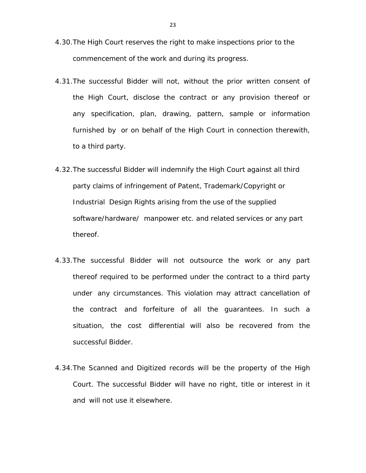- 4.30.The High Court reserves the right to make inspections prior to the commencement of the work and during its progress.
- 4.31.The successful Bidder will not, without the prior written consent of the High Court, disclose the contract or any provision thereof or any specification, plan, drawing, pattern, sample or information furnished by or on behalf of the High Court in connection therewith, to a third party.
- 4.32.The successful Bidder will indemnify the High Court against all third party claims of infringement of Patent, Trademark/Copyright or Industrial Design Rights arising from the use of the supplied software/hardware/ manpower etc. and related services or any part thereof.
- 4.33.The successful Bidder will not outsource the work or any part thereof required to be performed under the contract to a third party under any circumstances. This violation may attract cancellation of the contract and forfeiture of all the guarantees. In such a situation, the cost differential will also be recovered from the successful Bidder.
- 4.34.The Scanned and Digitized records will be the property of the High Court. The successful Bidder will have no right, title or interest in it and will not use it elsewhere.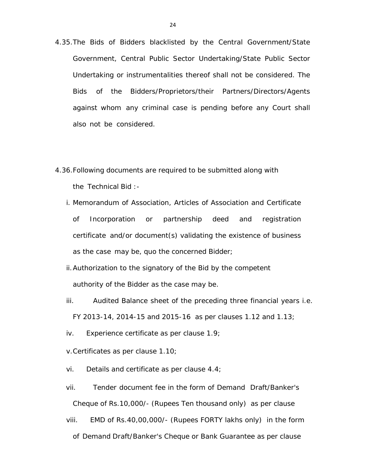- 4.35.The Bids of Bidders blacklisted by the Central Government/State Government, Central Public Sector Undertaking/State Public Sector Undertaking or instrumentalities thereof shall not be considered. The Bids of the Bidders/Proprietors/their Partners/Directors/Agents against whom any criminal case is pending before any Court shall also not be considered.
- 4.36.Following documents are required to be submitted along with the Technical Bid :
	- i. Memorandum of Association, Articles of Association and Certificate of Incorporation or partnership deed and registration certificate and/or document(s) validating the existence of business as the case may be, quo the concerned Bidder;
	- ii.Authorization to the signatory of the Bid by the competent authority of the Bidder as the case may be.
	- iii. Audited Balance sheet of the preceding three financial years i.e. FY 2013-14, 2014-15 and 2015-16 as per clauses 1.12 and 1.13;
	- iv. Experience certificate as per clause 1.9;
	- v.Certificates as per clause 1.10;
	- vi. Details and certificate as per clause 4.4;
	- vii. Tender document fee in the form of Demand Draft/Banker's Cheque of Rs.10,000/- (Rupees Ten thousand only) as per clause
	- viii. EMD of Rs.40,00,000/- (Rupees FORTY lakhs only) in the form of Demand Draft/Banker's Cheque or Bank Guarantee as per clause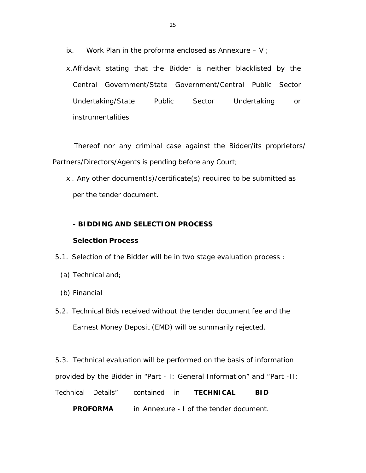ix. Work Plan in the proforma enclosed as Annexure  $- V$  ;

x.Affidavit stating that the Bidder is neither blacklisted by the Central Government/State Government/Central Public Sector Undertaking/State Public Sector Undertaking or instrumentalities

 Thereof nor any criminal case against the Bidder/its proprietors/ Partners/Directors/Agents is pending before any Court;

xi. Any other document(s)/certificate(s) required to be submitted as per the tender document.

## **- BIDDING AND SELECTION PROCESS**

### **Selection Process**

5.1. Selection of the Bidder will be in two stage evaluation process :

- (a) Technical and;
- (b) Financial
- 5.2. Technical Bids received without the tender document fee and the Earnest Money Deposit (EMD) will be summarily rejected.

5.3. Technical evaluation will be performed on the basis of information provided by the Bidder in "Part - I: General Information" and "Part -II: Technical Details" contained in **TECHNICAL BID**

 **PROFORMA** in Annexure - I of the tender document.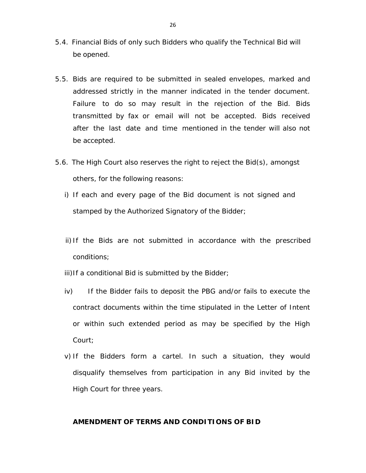- 5.4. Financial Bids of only such Bidders who qualify the Technical Bid will be opened.
- 5.5. Bids are required to be submitted in sealed envelopes, marked and addressed strictly in the manner indicated in the tender document. Failure to do so may result in the rejection of the Bid. Bids transmitted by fax or email will not be accepted. Bids received after the last date and time mentioned in the tender will also not be accepted.
- 5.6. The High Court also reserves the right to reject the Bid(s), amongst others, for the following reasons:
	- i) If each and every page of the Bid document is not signed and stamped by the Authorized Signatory of the Bidder;
	- ii) If the Bids are not submitted in accordance with the prescribed conditions;
	- iii) If a conditional Bid is submitted by the Bidder;
	- iv) If the Bidder fails to deposit the PBG and/or fails to execute the contract documents within the time stipulated in the Letter of Intent or within such extended period as may be specified by the High Court;
	- v) If the Bidders form a cartel. In such a situation, they would disqualify themselves from participation in any Bid invited by the High Court for three years.

### **AMENDMENT OF TERMS AND CONDITIONS OF BID**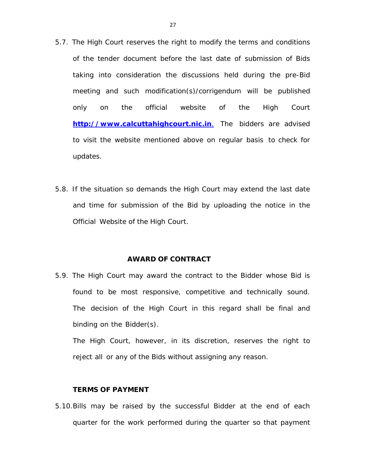- 5.7. The High Court reserves the right to modify the terms and conditions of the tender document before the last date of submission of Bids taking into consideration the discussions held during the pre-Bid meeting and such modification(s)/corrigendum will be published only on the official website of the High Court **http://www.calcuttahighcourt.nic.in**. The bidders are advised to visit the website mentioned above on regular basis to check for updates.
- 5.8. If the situation so demands the High Court may extend the last date and time for submission of the Bid by uploading the notice in the Official Website of the High Court.

#### **AWARD OF CONTRACT**

5.9. The High Court may award the contract to the Bidder whose Bid is found to be most responsive, competitive and technically sound. The decision of the High Court in this regard shall be final and binding on the Bidder(s).

The High Court, however, in its discretion, reserves the right to reject all or any of the Bids without assigning any reason.

#### **TERMS OF PAYMENT**

5.10.Bills may be raised by the successful Bidder at the end of each quarter for the work performed during the quarter so that payment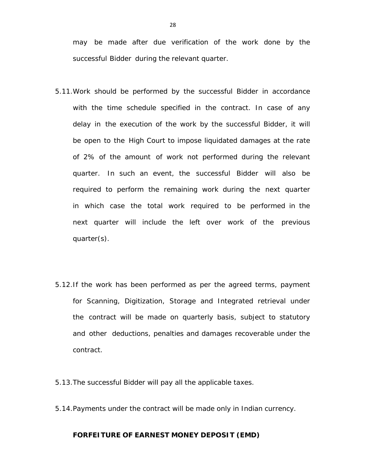may be made after due verification of the work done by the successful Bidder during the relevant quarter.

- 5.11.Work should be performed by the successful Bidder in accordance with the time schedule specified in the contract. In case of any delay in the execution of the work by the successful Bidder, it will be open to the High Court to impose liquidated damages at the rate of 2% of the amount of work not performed during the relevant quarter. In such an event, the successful Bidder will also be required to perform the remaining work during the next quarter in which case the total work required to be performed in the next quarter will include the left over work of the previous quarter(s).
- 5.12.If the work has been performed as per the agreed terms, payment for Scanning, Digitization, Storage and Integrated retrieval under the contract will be made on quarterly basis, subject to statutory and other deductions, penalties and damages recoverable under the contract.
- 5.13.The successful Bidder will pay all the applicable taxes.
- 5.14.Payments under the contract will be made only in Indian currency.

### **FORFEITURE OF EARNEST MONEY DEPOSIT (EMD)**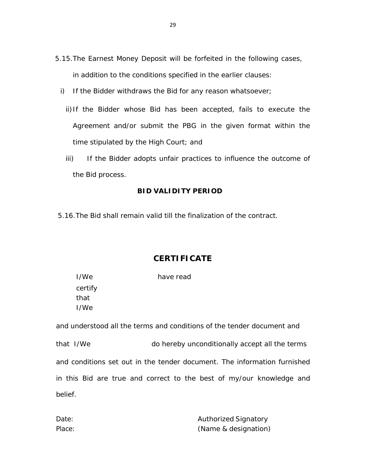- 5.15.The Earnest Money Deposit will be forfeited in the following cases, in addition to the conditions specified in the earlier clauses:
	- i) If the Bidder withdraws the Bid for any reason whatsoever;
		- ii)If the Bidder whose Bid has been accepted, fails to execute the Agreement and/or submit the PBG in the given format within the time stipulated by the High Court; and
		- iii) If the Bidder adopts unfair practices to influence the outcome of the Bid process.

### **BID VALIDITY PERIOD**

5.16.The Bid shall remain valid till the finalization of the contract.

### **CERTIFICATE**

| I/We    | have read |
|---------|-----------|
| certify |           |
| that    |           |
| I/We    |           |

and understood all the terms and conditions of the tender document and that I/We do hereby unconditionally accept all the terms and conditions set out in the tender document. The information furnished in this Bid are true and correct to the best of my/our knowledge and belief.

Date: **Authorized Signatory** Place: (Name & designation)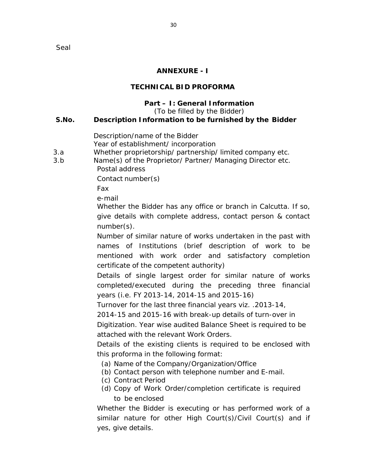Seal

## **ANNEXURE - I**

## **TECHNICAL BID PROFORMA**

## **Part – I: General Information**

(To be filled by the Bidder)

## **S.No. Description Information to be furnished by the Bidder**

Description/name of the Bidder

Year of establishment/ incorporation

3.a Whether proprietorship/ partnership/ limited company etc.

3.b Name(s) of the Proprietor/ Partner/ Managing Director etc. Postal address

Contact number(s)

Fax

e-mail

Whether the Bidder has any office or branch in Calcutta. If so, give details with complete address, contact person & contact number(s).

Number of similar nature of works undertaken in the past with names of Institutions (brief description of work to be mentioned with work order and satisfactory completion certificate of the competent authority)

Details of single largest order for similar nature of works completed/executed during the preceding three financial years (i.e. FY 2013-14, 2014-15 and 2015-16)

Turnover for the last three financial years viz. .2013-14,

2014-15 and 2015-16 with break-up details of turn-over in Digitization. Year wise audited Balance Sheet is required to be

attached with the relevant Work Orders.

Details of the existing clients is required to be enclosed with this proforma in the following format:

- (a) Name of the Company/Organization/Office
- (b) Contact person with telephone number and E-mail.
- (c) Contract Period
- (d) Copy of Work Order/completion certificate is required to be enclosed

Whether the Bidder is executing or has performed work of a similar nature for other High Court(s)/Civil Court(s) and if yes, give details.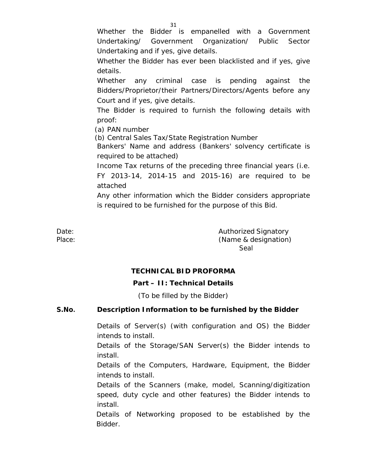Whether the Bidder is empanelled with a Government Undertaking/ Government Organization/ Public Sector Undertaking and if yes, give details.

Whether the Bidder has ever been blacklisted and if yes, give details.

Whether any criminal case is pending against the Bidders/Proprietor/their Partners/Directors/Agents before any Court and if yes, give details.

The Bidder is required to furnish the following details with proof:

(a) PAN number

(b) Central Sales Tax/State Registration Number

Bankers' Name and address (Bankers' solvency certificate is required to be attached)

Income Tax returns of the preceding three financial years (i.e. FY 2013-14, 2014-15 and 2015-16) are required to be attached

Any other information which the Bidder considers appropriate is required to be furnished for the purpose of this Bid.

Date: Case Controller Controller Controller Authorized Signatory Place: Place: (Name & designation) Seal

## **TECHNICAL BID PROFORMA**

### **Part – II: Technical Details**

(To be filled by the Bidder)

### **S.No. Description Information to be furnished by the Bidder**

Details of Server(s) (with configuration and OS) the Bidder intends to install.

Details of the Storage/SAN Server(s) the Bidder intends to install.

Details of the Computers, Hardware, Equipment, the Bidder intends to install.

Details of the Scanners (make, model, Scanning/digitization speed, duty cycle and other features) the Bidder intends to install.

Details of Networking proposed to be established by the Bidder.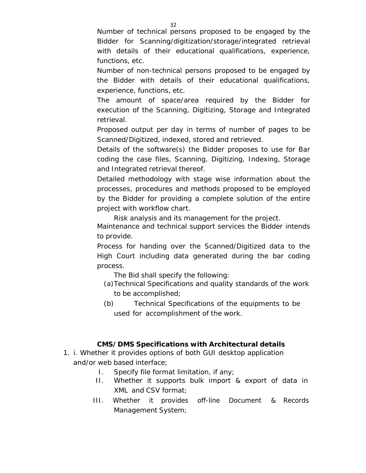Number of technical persons proposed to be engaged by the Bidder for Scanning/digitization/storage/integrated retrieval with details of their educational qualifications, experience, functions, etc.

Number of non-technical persons proposed to be engaged by the Bidder with details of their educational qualifications, experience, functions, etc.

The amount of space/area required by the Bidder for execution of the Scanning, Digitizing, Storage and Integrated retrieval.

Proposed output per day in terms of number of pages to be Scanned/Digitized, indexed, stored and retrieved.

Details of the software(s) the Bidder proposes to use for Bar coding the case files, Scanning, Digitizing, Indexing, Storage and Integrated retrieval thereof.

Detailed methodology with stage wise information about the processes, procedures and methods proposed to be employed by the Bidder for providing a complete solution of the entire project with workflow chart.

Risk analysis and its management for the project.

Maintenance and technical support services the Bidder intends to provide.

Process for handing over the Scanned/Digitized data to the High Court including data generated during the bar coding process.

The Bid shall specify the following:

- (a)Technical Specifications and quality standards of the work to be accomplished;
- (b) Technical Specifications of the equipments to be used for accomplishment of the work.

### **CMS/DMS Specifications with Architectural details**

- 1. i. Whether it provides options of both GUI desktop application and/or web based interface;
	- I. Specify file format limitation, if any;
	- II. Whether it supports bulk import & export of data in XML and CSV format;
	- III. Whether it provides off-line Document & Records Management System;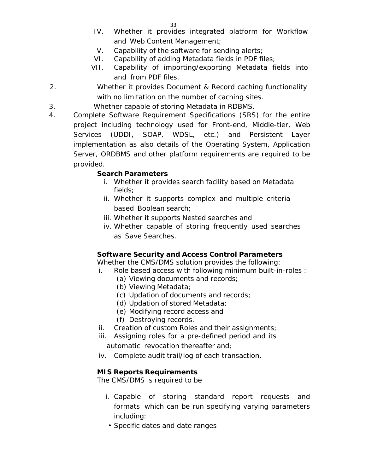- IV. Whether it provides integrated platform for Workflow and Web Content Management;
- V. Capability of the software for sending alerts;
- VI. Capability of adding Metadata fields in PDF files;
- VII. Capability of importing/exporting Metadata fields into and from PDF files.
- 2. Whether it provides Document & Record caching functionality with no limitation on the number of caching sites.
- 3. Whether capable of storing Metadata in RDBMS.
- 4. Complete Software Requirement Specifications (SRS) for the entire project including technology used for Front-end, Middle-tier, Web Services (UDDI, SOAP, WDSL, etc.) and Persistent Layer implementation as also details of the Operating System, Application Server, ORDBMS and other platform requirements are required to be provided.

# **Search Parameters**

- i. Whether it provides search facility based on Metadata fields;
- ii. Whether it supports complex and multiple criteria based Boolean search;
- iii. Whether it supports Nested searches and
- iv. Whether capable of storing frequently used searches as Save Searches.

## **Software Security and Access Control Parameters**

Whether the CMS/DMS solution provides the following:

- i. Role based access with following minimum built-in-roles :
	- (a) Viewing documents and records;
	- (b) Viewing Metadata;
	- (c) Updation of documents and records;
	- (d) Updation of stored Metadata;
	- (e) Modifying record access and
	- (f) Destroying records.
- ii. Creation of custom Roles and their assignments;
- iii. Assigning roles for a pre-defined period and its automatic revocation thereafter and;
- iv. Complete audit trail/log of each transaction.

# **MIS Reports Requirements**

The CMS/DMS is required to be

- i. Capable of storing standard report requests and formats which can be run specifying varying parameters including:
	- Specific dates and date ranges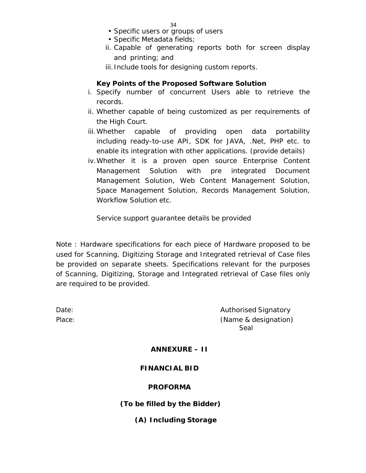- Specific users or groups of users
- Specific Metadata fields;
- ii. Capable of generating reports both for screen display and printing; and
- iii. Include tools for designing custom reports.

### **Key Points of the Proposed Software Solution**

- i. Specify number of concurrent Users able to retrieve the records.
- ii. Whether capable of being customized as per requirements of the High Court.
- iii.Whether capable of providing open data portability including ready-to-use API, SDK for JAVA, .Net, PHP etc. to enable its integration with other applications. (provide details)
- iv.Whether it is a proven open source Enterprise Content Management Solution with pre integrated Document Management Solution, Web Content Management Solution, Space Management Solution, Records Management Solution, Workflow Solution etc.

Service support guarantee details be provided

Note : Hardware specifications for each piece of Hardware proposed to be used for Scanning, Digitizing Storage and Integrated retrieval of Case files be provided on separate sheets. Specifications relevant for the purposes of Scanning, Digitizing, Storage and Integrated retrieval of Case files only are required to be provided.

Date: Contract of Contract Contract Contract Authorised Signatory Place: (Name & designation) Seal

#### **ANNEXURE – II**

### **FINANCIAL BID**

#### **PROFORMA**

### **(To be filled by the Bidder)**

### **(A) Including Storage**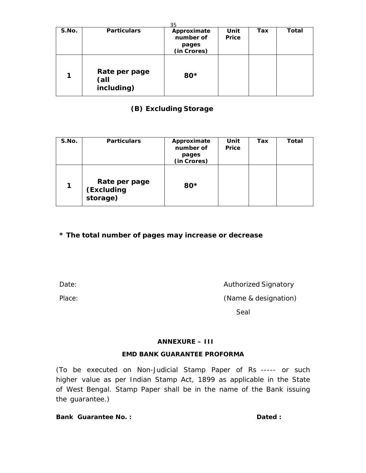| २५    |                                     |                                                  |               |     |       |
|-------|-------------------------------------|--------------------------------------------------|---------------|-----|-------|
| S.No. | <b>Particulars</b>                  | Approximate<br>number of<br>pages<br>(in Crores) | Unit<br>Price | Tax | Total |
|       | Rate per page<br>(all<br>including) | 80*                                              |               |     |       |

# **(B) Excluding Storage**

| S.No. | <b>Particulars</b>                      | Approximate<br>number of<br>pages<br>(in Crores) | Unit<br><b>Price</b> | Tax | Total |
|-------|-----------------------------------------|--------------------------------------------------|----------------------|-----|-------|
| 1     | Rate per page<br>(Excluding<br>storage) | 80*                                              |                      |     |       |

## **\* The total number of pages may increase or decrease**

Date: **Authorized Signatory CONSERVING AUTHORIZED AUTHORIZED Signatory** 

Place: Place: (Name & designation)

Seal

### **ANNEXURE – III**

### **EMD BANK GUARANTEE PROFORMA**

(To be executed on Non-Judicial Stamp Paper of Rs ----- or such higher value as per Indian Stamp Act, 1899 as applicable in the State of West Bengal. Stamp Paper shall be in the name of the Bank issuing the guarantee.)

**Bank Guarantee No. :**   $\qquad \qquad$  **Dated :**  $\qquad \qquad$  **Dated :**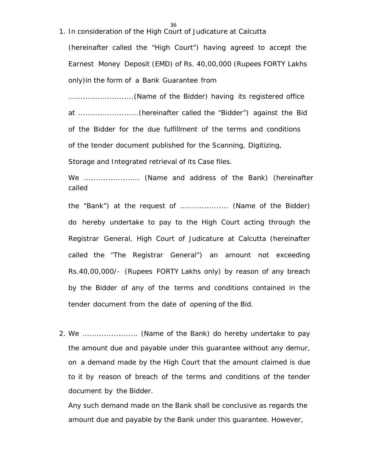1. In consideration of the High Court of Judicature at Calcutta

36

(hereinafter called the "High Court") having agreed to accept the Earnest Money Deposit (EMD) of Rs. 40,00,000 (Rupees FORTY Lakhs only)in the form of a Bank Guarantee from

...........................(Name of the Bidder) having its registered office at .........................(hereinafter called the "Bidder") against the Bid of the Bidder for the due fulfillment of the terms and conditions of the tender document published for the Scanning, Digitizing,

Storage and Integrated retrieval of its Case files.

We ....................... (Name and address of the Bank) (hereinafter called

the "Bank") at the request of .................... (Name of the Bidder) do hereby undertake to pay to the High Court acting through the Registrar General, High Court of Judicature at Calcutta (hereinafter called the "The Registrar General") an amount not exceeding Rs.40,00,000/- (Rupees FORTY Lakhs only) by reason of any breach by the Bidder of any of the terms and conditions contained in the tender document from the date of opening of the Bid.

2. We ......................... (Name of the Bank) do hereby undertake to pay the amount due and payable under this guarantee without any demur, on a demand made by the High Court that the amount claimed is due to it by reason of breach of the terms and conditions of the tender document by the Bidder.

Any such demand made on the Bank shall be conclusive as regards the amount due and payable by the Bank under this guarantee. However,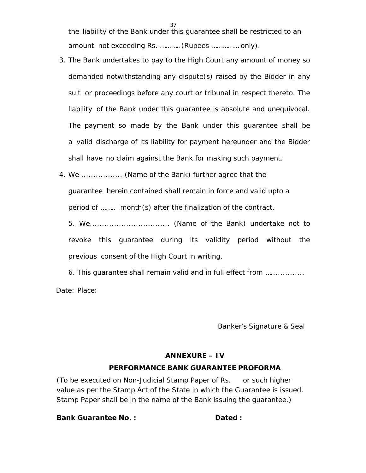the liability of the Bank under this guarantee shall be restricted to an amount not exceeding Rs. ………..(Rupees …………… only).

37

- 3. The Bank undertakes to pay to the High Court any amount of money so demanded notwithstanding any dispute(s) raised by the Bidder in any suit or proceedings before any court or tribunal in respect thereto. The liability of the Bank under this guarantee is absolute and unequivocal. The payment so made by the Bank under this guarantee shall be a valid discharge of its liability for payment hereunder and the Bidder shall have no claim against the Bank for making such payment.
- 4. We ................. (Name of the Bank) further agree that the guarantee herein contained shall remain in force and valid upto a period of …….. month(s) after the finalization of the contract.

5. We................................. (Name of the Bank) undertake not to revoke this guarantee during its validity period without the previous consent of the High Court in writing.

6. This guarantee shall remain valid and in full effect from …..............

Date: Place:

Banker's Signature & Seal

## **ANNEXURE – IV**

# **PERFORMANCE BANK GUARANTEE PROFORMA**

(To be executed on Non-Judicial Stamp Paper of Rs. or such higher value as per the Stamp Act of the State in which the Guarantee is issued. Stamp Paper shall be in the name of the Bank issuing the guarantee.)

**Bank Guarantee No. : Communist Contract Dated : Communist Contract Dated : Communist Communist Communist Communist Communist Communist Communist Communist Communist Communist Communist Communist Communist Communist Commun**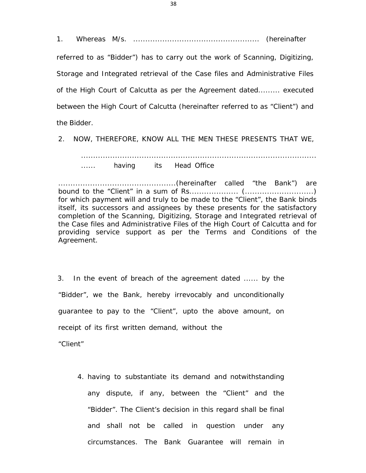1. Whereas M/s. .................................................... (hereinafter

referred to as "Bidder") has to carry out the work of Scanning, Digitizing, Storage and Integrated retrieval of the Case files and Administrative Files of the High Court of Calcutta as per the Agreement dated......... executed between the High Court of Calcutta (hereinafter referred to as "Client") and the Bidder.

2. NOW, THEREFORE, KNOW ALL THE MEN THESE PRESENTS THAT WE,

................................................................................................. ...... having its Head Office

................................................(hereinafter called "the Bank") are bound to the "Client" in a sum of Rs.................... (............................) for which payment will and truly to be made to the "Client", the Bank binds itself, its successors and assignees by these presents for the satisfactory completion of the Scanning, Digitizing, Storage and Integrated retrieval of the Case files and Administrative Files of the High Court of Calcutta and for providing service support as per the Terms and Conditions of the Agreement.

3. In the event of breach of the agreement dated ...... by the "Bidder", we the Bank, hereby irrevocably and unconditionally guarantee to pay to the "Client", upto the above amount, on receipt of its first written demand, without the

"Client"

4. having to substantiate its demand and notwithstanding any dispute, if any, between the "Client" and the "Bidder". The Client's decision in this regard shall be final and shall not be called in question under any circumstances. The Bank Guarantee will remain in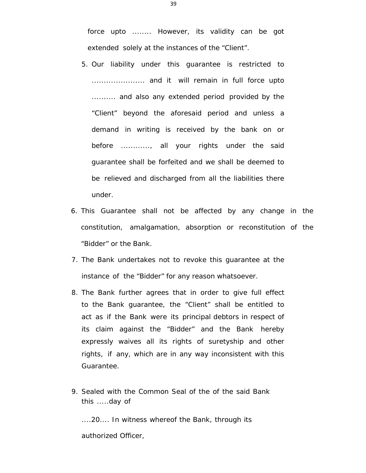force upto ........ However, its validity can be got extended solely at the instances of the "Client".

- 5. Our liability under this guarantee is restricted to ...................... and it will remain in full force upto .......... and also any extended period provided by the "Client" beyond the aforesaid period and unless a demand in writing is received by the bank on or before ............, all your rights under the said guarantee shall be forfeited and we shall be deemed to be relieved and discharged from all the liabilities there under.
- 6. This Guarantee shall not be affected by any change in the constitution, amalgamation, absorption or reconstitution of the "Bidder" or the Bank.
- 7. The Bank undertakes not to revoke this guarantee at the instance of the "Bidder" for any reason whatsoever.
- 8. The Bank further agrees that in order to give full effect to the Bank guarantee, the "Client" shall be entitled to act as if the Bank were its principal debtors in respect of its claim against the "Bidder" and the Bank hereby expressly waives all its rights of suretyship and other rights, if any, which are in any way inconsistent with this Guarantee.
- 9. Sealed with the Common Seal of the of the said Bank this .....day of

....20.... In witness whereof the Bank, through its authorized Officer,

39